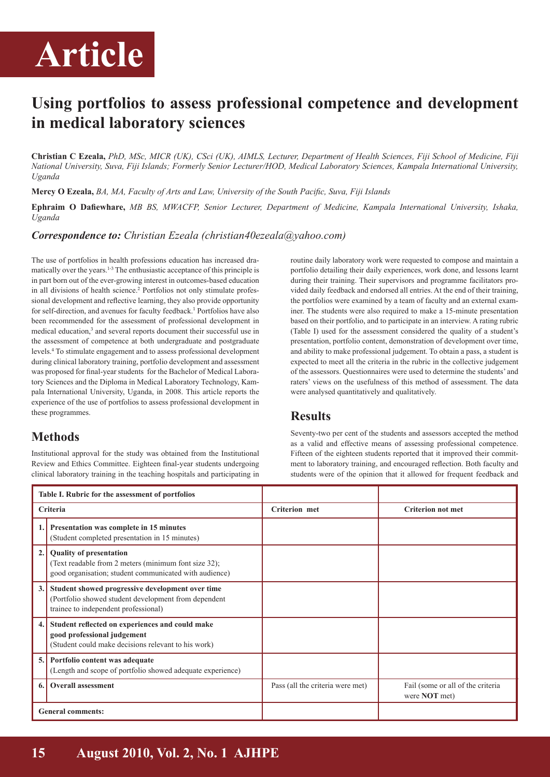# **Article**

## **Using portfolios to assess professional competence and development in medical laboratory sciences**

**Christian C Ezeala,** *PhD, MSc, MICR (UK), CSci (UK), AIMLS, Lecturer, Department of Health Sciences, Fiji School of Medicine, Fiji National University, Suva, Fiji Islands; Formerly Senior Lecturer/HOD, Medical Laboratory Sciences, Kampala International University, Uganda* 

**Mercy O Ezeala,** *BA, MA, Faculty of Arts and Law, University of the South Pacific, Suva, Fiji Islands*

**Ephraim O Dafiewhare,** *MB BS, MWACFP, Senior Lecturer, Department of Medicine, Kampala International University, Ishaka, Uganda*

#### *Correspondence to: Christian Ezeala (christian40ezeala@yahoo.com)*

The use of portfolios in health professions education has increased dramatically over the years.<sup>1-3</sup> The enthusiastic acceptance of this principle is in part born out of the ever-growing interest in outcomes-based education in all divisions of health science.<sup>2</sup> Portfolios not only stimulate professional development and reflective learning, they also provide opportunity for self-direction, and avenues for faculty feedback.<sup>1</sup> Portfolios have also been recommended for the assessment of professional development in medical education,<sup>3</sup> and several reports document their successful use in the assessment of competence at both undergraduate and postgraduate levels.<sup>4</sup> To stimulate engagement and to assess professional development during clinical laboratory training, portfolio development and assessment was proposed for final-year students for the Bachelor of Medical Laboratory Sciences and the Diploma in Medical Laboratory Technology, Kampala International University, Uganda, in 2008. This article reports the experience of the use of portfolios to assess professional development in these programmes.

### **Methods**

Institutional approval for the study was obtained from the Institutional Review and Ethics Committee. Eighteen final-year students undergoing clinical laboratory training in the teaching hospitals and participating in routine daily laboratory work were requested to compose and maintain a portfolio detailing their daily experiences, work done, and lessons learnt during their training. Their supervisors and programme facilitators provided daily feedback and endorsed all entries. At the end of their training, the portfolios were examined by a team of faculty and an external examiner. The students were also required to make a 15-minute presentation based on their portfolio, and to participate in an interview. A rating rubric (Table I) used for the assessment considered the quality of a student's presentation, portfolio content, demonstration of development over time, and ability to make professional judgement. To obtain a pass, a student is expected to meet all the criteria in the rubric in the collective judgement of the assessors. Questionnaires were used to determine the students' and raters' views on the usefulness of this method of assessment. The data were analysed quantitatively and qualitatively.

#### **Results**

Seventy-two per cent of the students and assessors accepted the method as a valid and effective means of assessing professional competence. Fifteen of the eighteen students reported that it improved their commitment to laboratory training, and encouraged reflection. Both faculty and students were of the opinion that it allowed for frequent feedback and

| Table I. Rubric for the assessment of portfolios |                                                                                                                                                  |                                  |                                                           |
|--------------------------------------------------|--------------------------------------------------------------------------------------------------------------------------------------------------|----------------------------------|-----------------------------------------------------------|
| Criteria                                         |                                                                                                                                                  | <b>Criterion met</b>             | <b>Criterion not met</b>                                  |
|                                                  | Presentation was complete in 15 minutes<br>(Student completed presentation in 15 minutes)                                                        |                                  |                                                           |
| 2.                                               | <b>Quality of presentation</b><br>(Text readable from 2 meters (minimum font size 32);<br>good organisation; student communicated with audience) |                                  |                                                           |
| 3.                                               | Student showed progressive development over time<br>(Portfolio showed student development from dependent<br>trainee to independent professional) |                                  |                                                           |
| 4.                                               | Student reflected on experiences and could make<br>good professional judgement<br>(Student could make decisions relevant to his work)            |                                  |                                                           |
| 5.                                               | Portfolio content was adequate<br>(Length and scope of portfolio showed adequate experience)                                                     |                                  |                                                           |
| 6.                                               | <b>Overall assessment</b>                                                                                                                        | Pass (all the criteria were met) | Fail (some or all of the criteria<br>were <b>NOT</b> met) |
| <b>General comments:</b>                         |                                                                                                                                                  |                                  |                                                           |